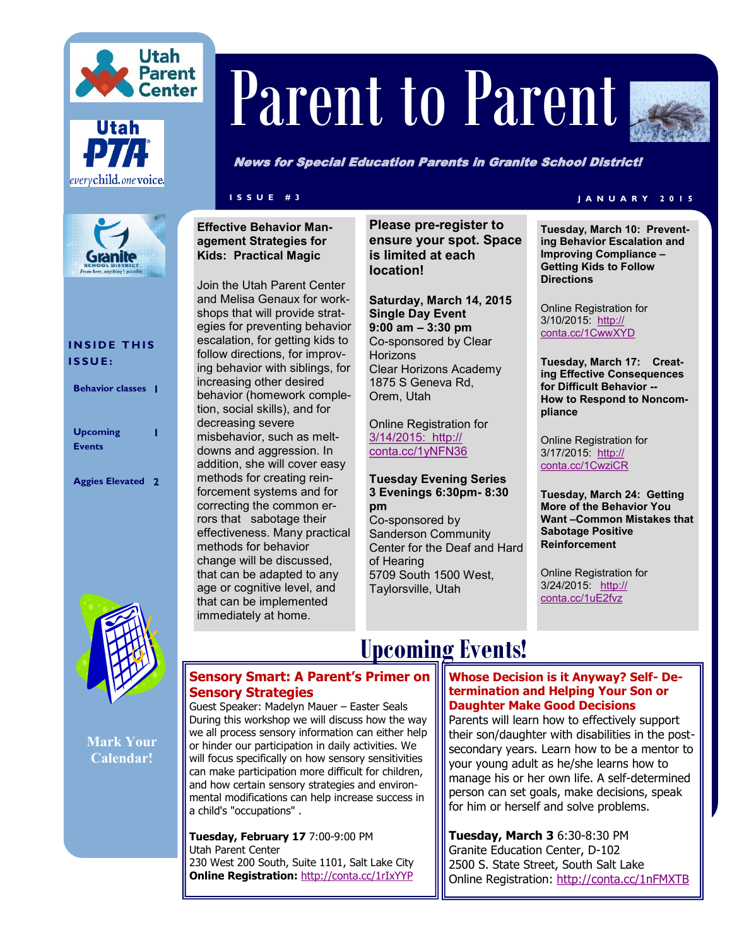



# Parent to Parent



News for Special Education Parents in Granite School District!

**Kids: Practical Magic**

#### **INSIDE THIS I S S U E :**

| <b>Behavior classes</b>          |  |
|----------------------------------|--|
| <b>Upcoming</b><br><b>Events</b> |  |
| <b>Aggies Elevated 2</b>         |  |



**Mark Your Calendar!**

### **Effective Behavior Management Strategies for**

Join the Utah Parent Center and Melisa Genaux for workshops that will provide strategies for preventing behavior escalation, for getting kids to follow directions, for improving behavior with siblings, for increasing other desired behavior (homework completion, social skills), and for decreasing severe misbehavior, such as meltdowns and aggression. In addition, she will cover easy methods for creating reinforcement systems and for correcting the common errors that sabotage their effectiveness. Many practical methods for behavior change will be discussed, that can be adapted to any age or cognitive level, and that can be implemented immediately at home.

**Please pre-register to ensure your spot. Space is limited at each location!**

**Saturday, March 14, 2015 Single Day Event 9:00 am – 3:30 pm** Co-sponsored by Clear **Horizons** Clear Horizons Academy 1875 S Geneva Rd, Orem, Utah

Online Registration for [3/14/2015:](3/14/2015: %20http:/conta.cc/1yNFN36) http:// [conta.cc/1yNFN36](3/14/2015: %20http:/conta.cc/1yNFN36)

#### **Tuesday Evening Series 3 Evenings 6:30pm- 8:30 pm**

Co-sponsored by Sanderson Community Center for the Deaf and Hard of Hearing 5709 South 1500 West, Taylorsville, Utah

### **I S S U E # 3 J A N U A R Y 2 0 1 5**

**Tuesday, March 10: Preventing Behavior Escalation and Improving Compliance – Getting Kids to Follow Directions**

Online Registration for 3/10/2015: [http://](http://conta.cc/1CwwXYD) [conta.cc/1CwwXYD](http://conta.cc/1CwwXYD)

**Tuesday, March 17: Creating Effective Consequences for Difficult Behavior -- How to Respond to Noncompliance**

Online Registration for 3/17/2015: [http://](http://conta.cc/1CwziCR) [conta.cc/1CwziCR](http://conta.cc/1CwziCR)

**Tuesday, March 24: Getting More of the Behavior You Want –Common Mistakes that Sabotage Positive Reinforcement**

Online Registration for 3/24/2015: [http://](http://conta.cc/1uE2fvz) [conta.cc/1uE2fvz](http://conta.cc/1uE2fvz)

## **Upcoming Events!**

### **Sensory Smart: A Parent's Primer on Sensory Strategies**

Guest Speaker: Madelyn Mauer – Easter Seals During this workshop we will discuss how the way we all process sensory information can either help or hinder our participation in daily activities. We will focus specifically on how sensory sensitivities can make participation more difficult for children, and how certain sensory strategies and environmental modifications can help increase success in a child's "occupations" .

**Tuesday, February 17** 7:00-9:00 PM Utah Parent Center 230 West 200 South, Suite 1101, Salt Lake City **Online Registration:** <http://conta.cc/1rIxYYP>

### **Whose Decision is it Anyway? Self- Determination and Helping Your Son or Daughter Make Good Decisions**

Parents will learn how to effectively support their son/daughter with disabilities in the postsecondary years. Learn how to be a mentor to your young adult as he/she learns how to manage his or her own life. A self-determined person can set goals, make decisions, speak for him or herself and solve problems.

**Tuesday, March 3** 6:30-8:30 PM Granite Education Center, D-102 2500 S. State Street, South Salt Lake Online Registration: <http://conta.cc/1nFMXTB>